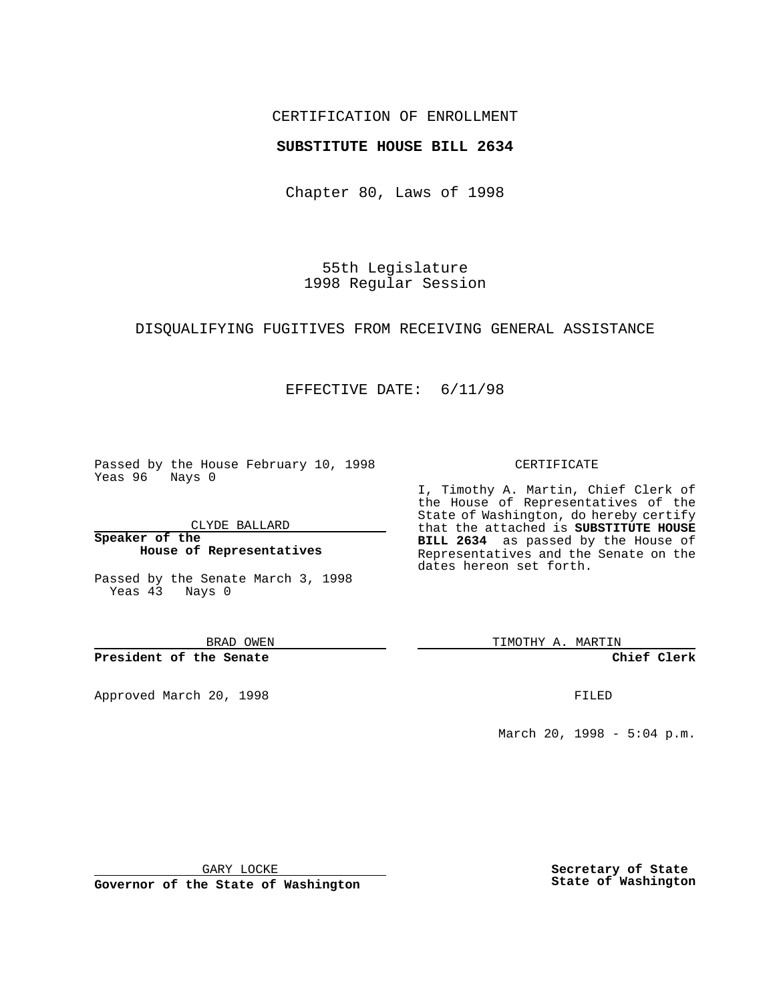## CERTIFICATION OF ENROLLMENT

# **SUBSTITUTE HOUSE BILL 2634**

Chapter 80, Laws of 1998

55th Legislature 1998 Regular Session

### DISQUALIFYING FUGITIVES FROM RECEIVING GENERAL ASSISTANCE

# EFFECTIVE DATE: 6/11/98

Passed by the House February 10, 1998 Yeas 96 Nays 0

CLYDE BALLARD

**Speaker of the House of Representatives**

Passed by the Senate March 3, 1998 Yeas 43 Nays 0

BRAD OWEN

**President of the Senate**

Approved March 20, 1998 **FILED** 

### CERTIFICATE

I, Timothy A. Martin, Chief Clerk of the House of Representatives of the State of Washington, do hereby certify that the attached is **SUBSTITUTE HOUSE BILL 2634** as passed by the House of Representatives and the Senate on the dates hereon set forth.

TIMOTHY A. MARTIN

**Chief Clerk**

March 20, 1998 - 5:04 p.m.

GARY LOCKE

**Governor of the State of Washington**

**Secretary of State State of Washington**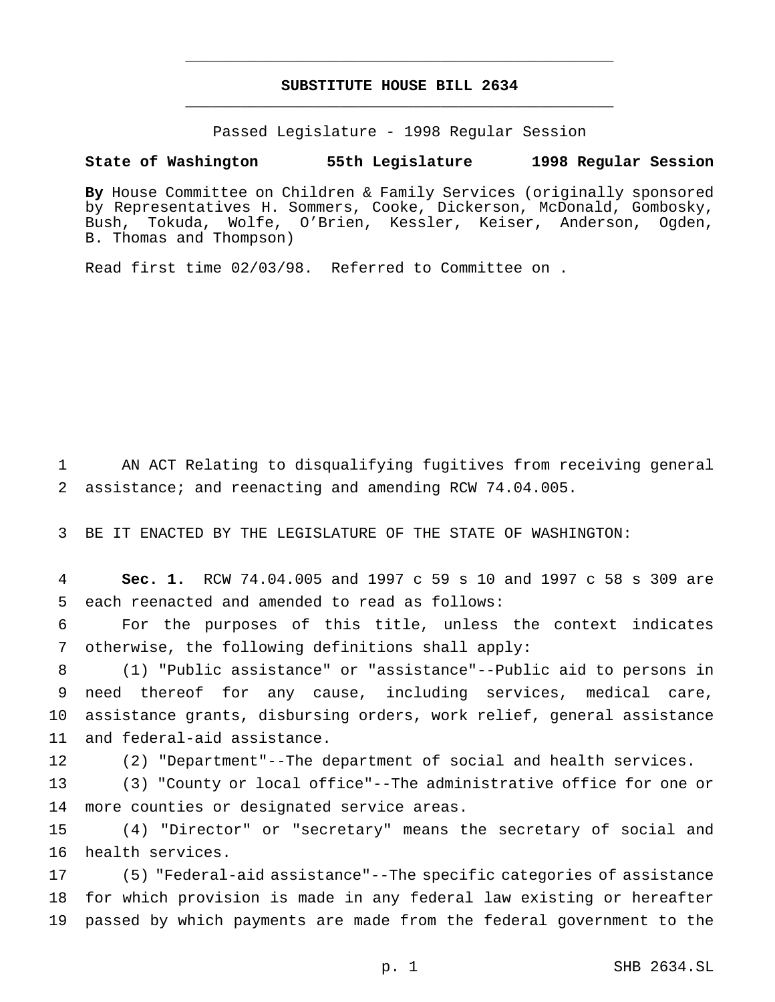# **SUBSTITUTE HOUSE BILL 2634** \_\_\_\_\_\_\_\_\_\_\_\_\_\_\_\_\_\_\_\_\_\_\_\_\_\_\_\_\_\_\_\_\_\_\_\_\_\_\_\_\_\_\_\_\_\_\_

\_\_\_\_\_\_\_\_\_\_\_\_\_\_\_\_\_\_\_\_\_\_\_\_\_\_\_\_\_\_\_\_\_\_\_\_\_\_\_\_\_\_\_\_\_\_\_

Passed Legislature - 1998 Regular Session

### **State of Washington 55th Legislature 1998 Regular Session**

**By** House Committee on Children & Family Services (originally sponsored by Representatives H. Sommers, Cooke, Dickerson, McDonald, Gombosky, Bush, Tokuda, Wolfe, O'Brien, Kessler, Keiser, Anderson, Ogden, B. Thomas and Thompson)

Read first time 02/03/98. Referred to Committee on .

 AN ACT Relating to disqualifying fugitives from receiving general assistance; and reenacting and amending RCW 74.04.005.

BE IT ENACTED BY THE LEGISLATURE OF THE STATE OF WASHINGTON:

 **Sec. 1.** RCW 74.04.005 and 1997 c 59 s 10 and 1997 c 58 s 309 are each reenacted and amended to read as follows:

 For the purposes of this title, unless the context indicates otherwise, the following definitions shall apply:

 (1) "Public assistance" or "assistance"--Public aid to persons in need thereof for any cause, including services, medical care, assistance grants, disbursing orders, work relief, general assistance and federal-aid assistance.

(2) "Department"--The department of social and health services.

 (3) "County or local office"--The administrative office for one or more counties or designated service areas.

 (4) "Director" or "secretary" means the secretary of social and health services.

 (5) "Federal-aid assistance"--The specific categories of assistance for which provision is made in any federal law existing or hereafter passed by which payments are made from the federal government to the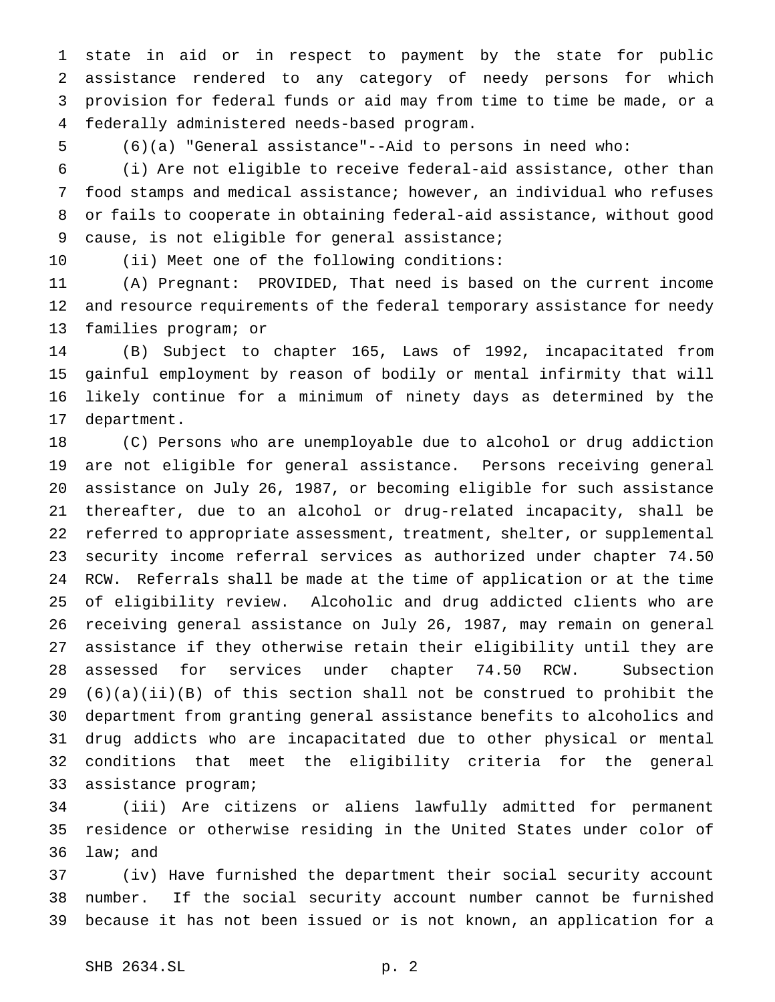state in aid or in respect to payment by the state for public assistance rendered to any category of needy persons for which provision for federal funds or aid may from time to time be made, or a federally administered needs-based program.

(6)(a) "General assistance"--Aid to persons in need who:

 (i) Are not eligible to receive federal-aid assistance, other than food stamps and medical assistance; however, an individual who refuses or fails to cooperate in obtaining federal-aid assistance, without good cause, is not eligible for general assistance;

(ii) Meet one of the following conditions:

 (A) Pregnant: PROVIDED, That need is based on the current income and resource requirements of the federal temporary assistance for needy families program; or

 (B) Subject to chapter 165, Laws of 1992, incapacitated from gainful employment by reason of bodily or mental infirmity that will likely continue for a minimum of ninety days as determined by the department.

 (C) Persons who are unemployable due to alcohol or drug addiction are not eligible for general assistance. Persons receiving general assistance on July 26, 1987, or becoming eligible for such assistance thereafter, due to an alcohol or drug-related incapacity, shall be referred to appropriate assessment, treatment, shelter, or supplemental security income referral services as authorized under chapter 74.50 RCW. Referrals shall be made at the time of application or at the time of eligibility review. Alcoholic and drug addicted clients who are receiving general assistance on July 26, 1987, may remain on general assistance if they otherwise retain their eligibility until they are assessed for services under chapter 74.50 RCW. Subsection (6)(a)(ii)(B) of this section shall not be construed to prohibit the department from granting general assistance benefits to alcoholics and drug addicts who are incapacitated due to other physical or mental conditions that meet the eligibility criteria for the general assistance program;

 (iii) Are citizens or aliens lawfully admitted for permanent residence or otherwise residing in the United States under color of law; and

 (iv) Have furnished the department their social security account number. If the social security account number cannot be furnished because it has not been issued or is not known, an application for a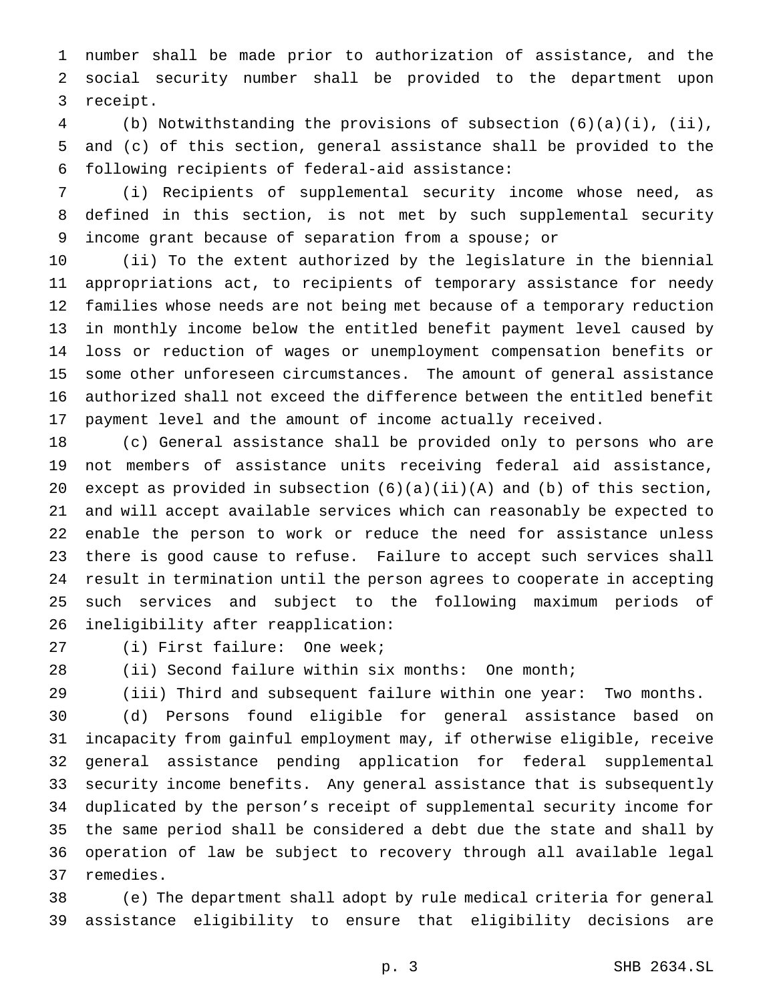number shall be made prior to authorization of assistance, and the social security number shall be provided to the department upon receipt.

 (b) Notwithstanding the provisions of subsection (6)(a)(i), (ii), and (c) of this section, general assistance shall be provided to the following recipients of federal-aid assistance:

 (i) Recipients of supplemental security income whose need, as defined in this section, is not met by such supplemental security income grant because of separation from a spouse; or

 (ii) To the extent authorized by the legislature in the biennial appropriations act, to recipients of temporary assistance for needy families whose needs are not being met because of a temporary reduction in monthly income below the entitled benefit payment level caused by loss or reduction of wages or unemployment compensation benefits or some other unforeseen circumstances. The amount of general assistance authorized shall not exceed the difference between the entitled benefit payment level and the amount of income actually received.

 (c) General assistance shall be provided only to persons who are not members of assistance units receiving federal aid assistance, 20 except as provided in subsection  $(6)(a)(ii)(A)$  and  $(b)$  of this section, and will accept available services which can reasonably be expected to enable the person to work or reduce the need for assistance unless there is good cause to refuse. Failure to accept such services shall result in termination until the person agrees to cooperate in accepting such services and subject to the following maximum periods of ineligibility after reapplication:

(i) First failure: One week;

(ii) Second failure within six months: One month;

(iii) Third and subsequent failure within one year: Two months.

 (d) Persons found eligible for general assistance based on incapacity from gainful employment may, if otherwise eligible, receive general assistance pending application for federal supplemental security income benefits. Any general assistance that is subsequently duplicated by the person's receipt of supplemental security income for the same period shall be considered a debt due the state and shall by operation of law be subject to recovery through all available legal remedies.

 (e) The department shall adopt by rule medical criteria for general assistance eligibility to ensure that eligibility decisions are

p. 3 SHB 2634.SL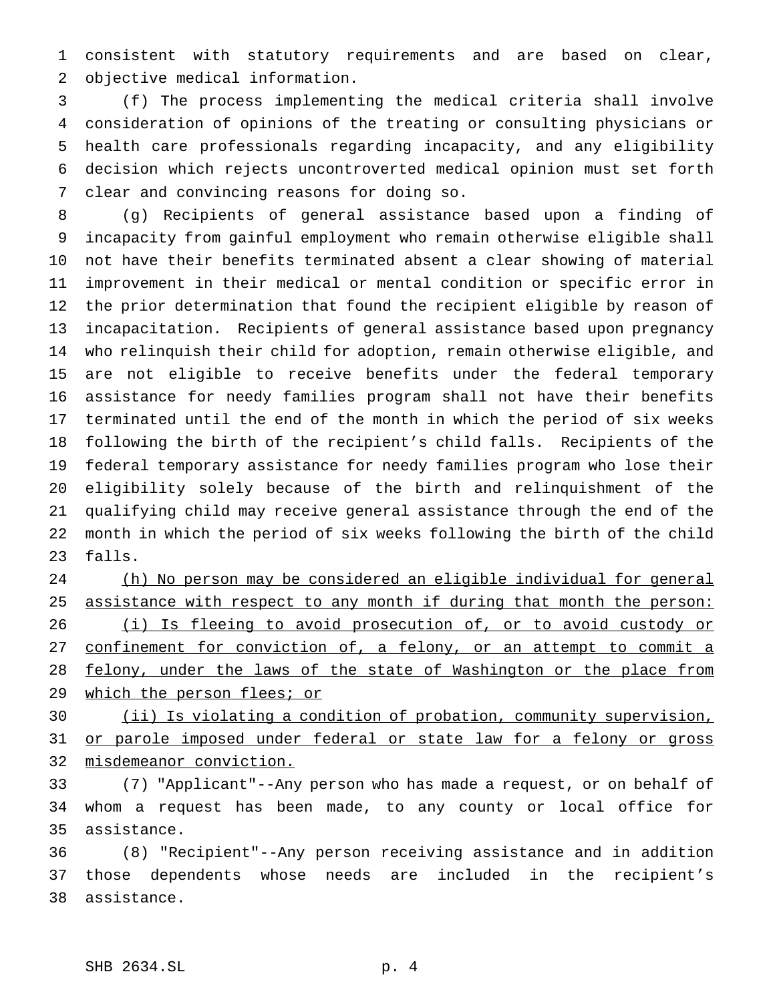consistent with statutory requirements and are based on clear, objective medical information.

 (f) The process implementing the medical criteria shall involve consideration of opinions of the treating or consulting physicians or health care professionals regarding incapacity, and any eligibility decision which rejects uncontroverted medical opinion must set forth clear and convincing reasons for doing so.

 (g) Recipients of general assistance based upon a finding of incapacity from gainful employment who remain otherwise eligible shall not have their benefits terminated absent a clear showing of material improvement in their medical or mental condition or specific error in the prior determination that found the recipient eligible by reason of incapacitation. Recipients of general assistance based upon pregnancy who relinquish their child for adoption, remain otherwise eligible, and are not eligible to receive benefits under the federal temporary assistance for needy families program shall not have their benefits terminated until the end of the month in which the period of six weeks following the birth of the recipient's child falls. Recipients of the federal temporary assistance for needy families program who lose their eligibility solely because of the birth and relinquishment of the qualifying child may receive general assistance through the end of the month in which the period of six weeks following the birth of the child falls.

 (h) No person may be considered an eligible individual for general 25 assistance with respect to any month if during that month the person: (i) Is fleeing to avoid prosecution of, or to avoid custody or 27 confinement for conviction of, a felony, or an attempt to commit a 28 felony, under the laws of the state of Washington or the place from 29 which the person flees; or

 (ii) Is violating a condition of probation, community supervision, 31 or parole imposed under federal or state law for a felony or gross misdemeanor conviction.

 (7) "Applicant"--Any person who has made a request, or on behalf of whom a request has been made, to any county or local office for assistance.

 (8) "Recipient"--Any person receiving assistance and in addition those dependents whose needs are included in the recipient's assistance.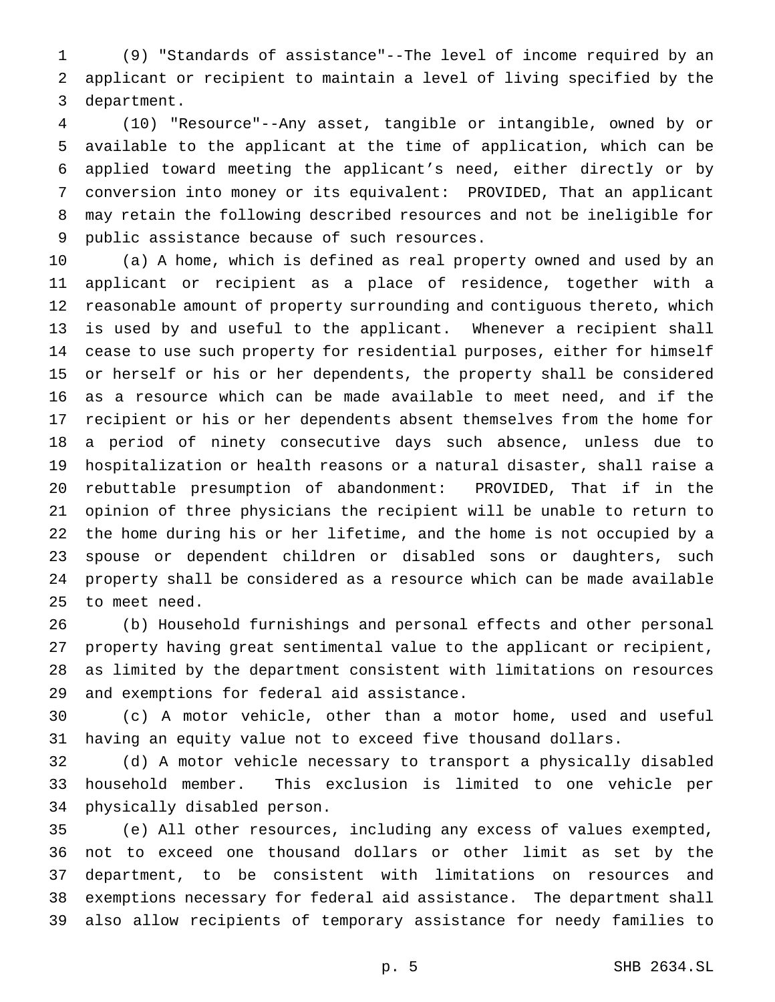(9) "Standards of assistance"--The level of income required by an applicant or recipient to maintain a level of living specified by the department.

 (10) "Resource"--Any asset, tangible or intangible, owned by or available to the applicant at the time of application, which can be applied toward meeting the applicant's need, either directly or by conversion into money or its equivalent: PROVIDED, That an applicant may retain the following described resources and not be ineligible for public assistance because of such resources.

 (a) A home, which is defined as real property owned and used by an applicant or recipient as a place of residence, together with a reasonable amount of property surrounding and contiguous thereto, which is used by and useful to the applicant. Whenever a recipient shall cease to use such property for residential purposes, either for himself or herself or his or her dependents, the property shall be considered as a resource which can be made available to meet need, and if the recipient or his or her dependents absent themselves from the home for a period of ninety consecutive days such absence, unless due to hospitalization or health reasons or a natural disaster, shall raise a rebuttable presumption of abandonment: PROVIDED, That if in the opinion of three physicians the recipient will be unable to return to the home during his or her lifetime, and the home is not occupied by a spouse or dependent children or disabled sons or daughters, such property shall be considered as a resource which can be made available to meet need.

 (b) Household furnishings and personal effects and other personal property having great sentimental value to the applicant or recipient, as limited by the department consistent with limitations on resources and exemptions for federal aid assistance.

 (c) A motor vehicle, other than a motor home, used and useful having an equity value not to exceed five thousand dollars.

 (d) A motor vehicle necessary to transport a physically disabled household member. This exclusion is limited to one vehicle per physically disabled person.

 (e) All other resources, including any excess of values exempted, not to exceed one thousand dollars or other limit as set by the department, to be consistent with limitations on resources and exemptions necessary for federal aid assistance. The department shall also allow recipients of temporary assistance for needy families to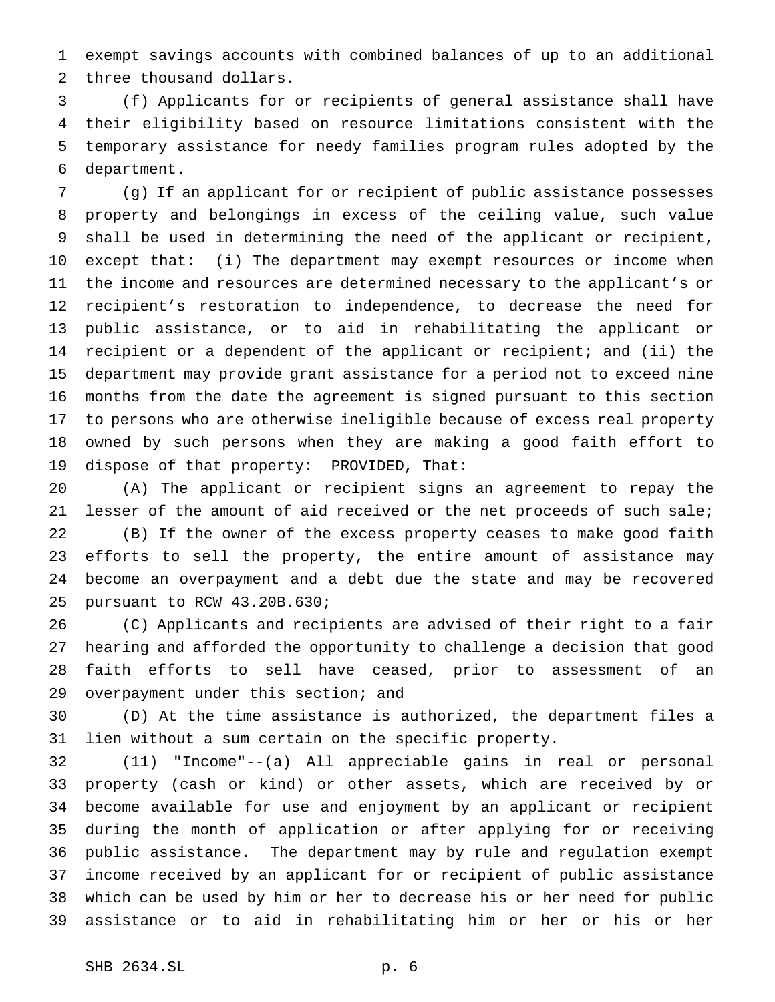exempt savings accounts with combined balances of up to an additional three thousand dollars.

 (f) Applicants for or recipients of general assistance shall have their eligibility based on resource limitations consistent with the temporary assistance for needy families program rules adopted by the department.

 (g) If an applicant for or recipient of public assistance possesses property and belongings in excess of the ceiling value, such value shall be used in determining the need of the applicant or recipient, except that: (i) The department may exempt resources or income when the income and resources are determined necessary to the applicant's or recipient's restoration to independence, to decrease the need for public assistance, or to aid in rehabilitating the applicant or recipient or a dependent of the applicant or recipient; and (ii) the department may provide grant assistance for a period not to exceed nine months from the date the agreement is signed pursuant to this section to persons who are otherwise ineligible because of excess real property owned by such persons when they are making a good faith effort to dispose of that property: PROVIDED, That:

 (A) The applicant or recipient signs an agreement to repay the 21 lesser of the amount of aid received or the net proceeds of such sale; (B) If the owner of the excess property ceases to make good faith efforts to sell the property, the entire amount of assistance may become an overpayment and a debt due the state and may be recovered pursuant to RCW 43.20B.630;

 (C) Applicants and recipients are advised of their right to a fair hearing and afforded the opportunity to challenge a decision that good faith efforts to sell have ceased, prior to assessment of an overpayment under this section; and

 (D) At the time assistance is authorized, the department files a lien without a sum certain on the specific property.

 (11) "Income"--(a) All appreciable gains in real or personal property (cash or kind) or other assets, which are received by or become available for use and enjoyment by an applicant or recipient during the month of application or after applying for or receiving public assistance. The department may by rule and regulation exempt income received by an applicant for or recipient of public assistance which can be used by him or her to decrease his or her need for public assistance or to aid in rehabilitating him or her or his or her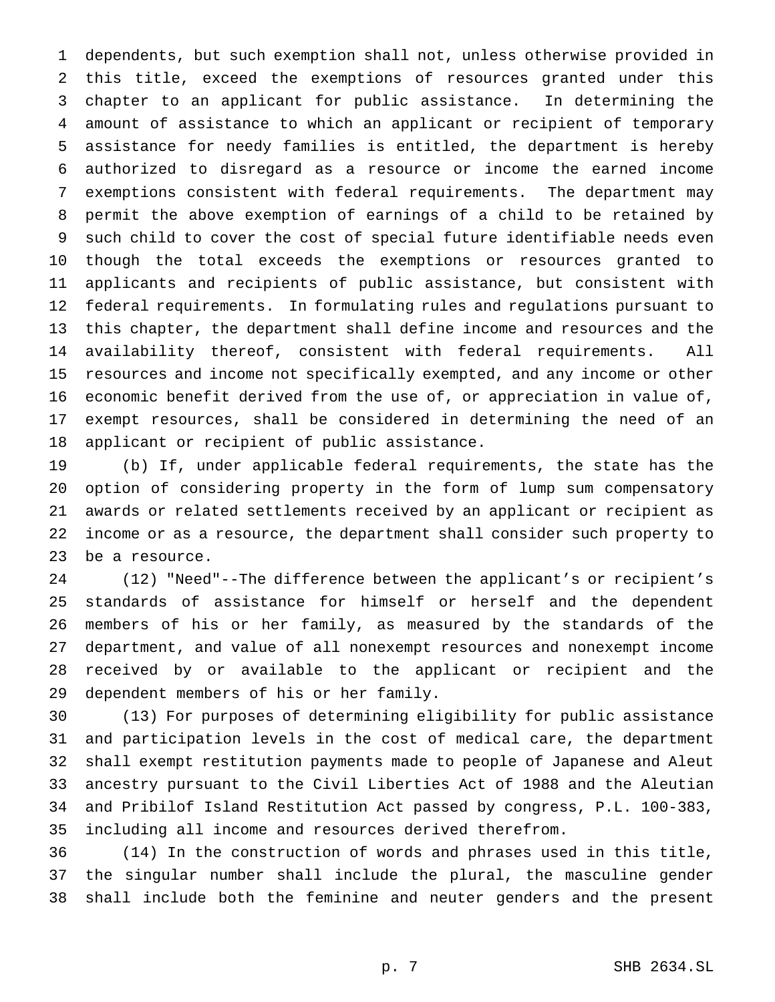dependents, but such exemption shall not, unless otherwise provided in this title, exceed the exemptions of resources granted under this chapter to an applicant for public assistance. In determining the amount of assistance to which an applicant or recipient of temporary assistance for needy families is entitled, the department is hereby authorized to disregard as a resource or income the earned income exemptions consistent with federal requirements. The department may permit the above exemption of earnings of a child to be retained by such child to cover the cost of special future identifiable needs even though the total exceeds the exemptions or resources granted to applicants and recipients of public assistance, but consistent with federal requirements. In formulating rules and regulations pursuant to this chapter, the department shall define income and resources and the availability thereof, consistent with federal requirements. All resources and income not specifically exempted, and any income or other economic benefit derived from the use of, or appreciation in value of, exempt resources, shall be considered in determining the need of an applicant or recipient of public assistance.

 (b) If, under applicable federal requirements, the state has the option of considering property in the form of lump sum compensatory awards or related settlements received by an applicant or recipient as income or as a resource, the department shall consider such property to be a resource.

 (12) "Need"--The difference between the applicant's or recipient's standards of assistance for himself or herself and the dependent members of his or her family, as measured by the standards of the department, and value of all nonexempt resources and nonexempt income received by or available to the applicant or recipient and the dependent members of his or her family.

 (13) For purposes of determining eligibility for public assistance and participation levels in the cost of medical care, the department shall exempt restitution payments made to people of Japanese and Aleut ancestry pursuant to the Civil Liberties Act of 1988 and the Aleutian and Pribilof Island Restitution Act passed by congress, P.L. 100-383, including all income and resources derived therefrom.

 (14) In the construction of words and phrases used in this title, the singular number shall include the plural, the masculine gender shall include both the feminine and neuter genders and the present